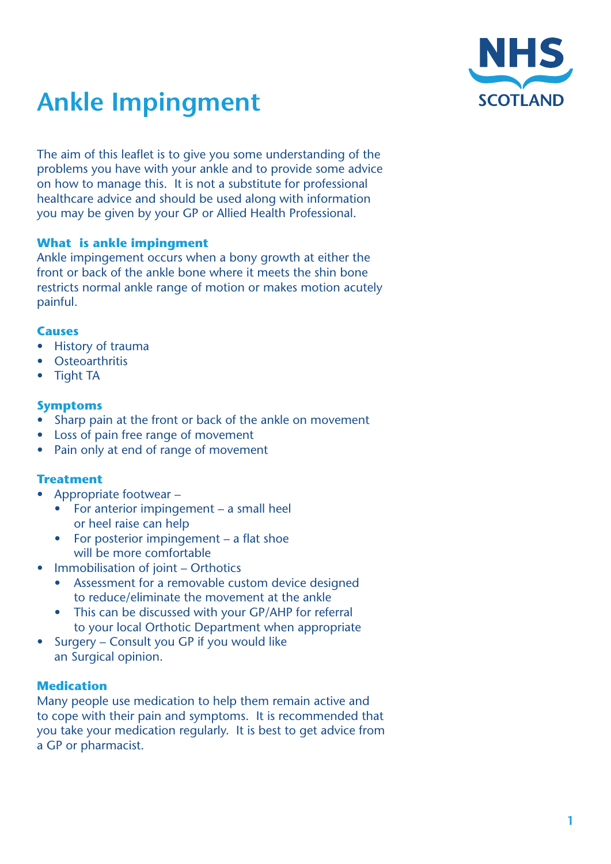

# **Ankle Impingment**

The aim of this leaflet is to give you some understanding of the problems you have with your ankle and to provide some advice on how to manage this. It is not a substitute for professional healthcare advice and should be used along with information you may be given by your GP or Allied Health Professional.

## **What is ankle impingment**

Ankle impingement occurs when a bony growth at either the front or back of the ankle bone where it meets the shin bone restricts normal ankle range of motion or makes motion acutely painful.

#### **Causes**

- **History of trauma**
- **Osteoarthritis**
- **Tight TA**

# **Symptoms**

- Sharp pain at the front or back of the ankle on movement
- **Loss of pain free range of movement**
- Pain only at end of range of movement

# **Treatment**

- Appropriate footwear
	- For anterior impingement  $-$  a small heel or heel raise can help
	- For posterior impingement a flat shoe will be more comfortable
- Immobilisation of joint Orthotics
	- Assessment for a removable custom device designed to reduce/eliminate the movement at the ankle
	- This can be discussed with your GP/AHP for referral to your local Orthotic Department when appropriate
- Surgery Consult you GP if you would like an Surgical opinion.

# **Medication**

Many people use medication to help them remain active and to cope with their pain and symptoms. It is recommended that you take your medication regularly. It is best to get advice from a GP or pharmacist.